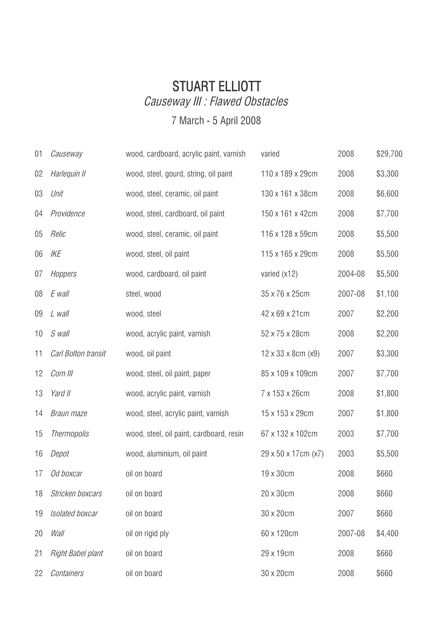## STUART ELLIOTT Causeway III : Flawed Obstacles

## 7 March - 5 April 2008

| 01 | Causeway            | wood, cardboard, acrylic paint, varnish  | varied                            | 2008    | \$29,700 |
|----|---------------------|------------------------------------------|-----------------------------------|---------|----------|
| 02 | Harlequin II        | wood, steel, gourd, string, oil paint    | 110 x 189 x 29cm                  | 2008    | \$3,300  |
| 03 | Unit                | wood, steel, ceramic, oil paint          | 130 x 161 x 38cm                  | 2008    | \$6,600  |
| 04 | Providence          | wood, steel, cardboard, oil paint        | 150 x 161 x 42cm                  | 2008    | \$7,700  |
| 05 | Relic               | wood, steel, ceramic, oil paint          | 116 x 128 x 59cm                  | 2008    | \$5,500  |
| 06 | IKE                 | wood, steel, oil paint                   | 115 x 165 x 29cm                  | 2008    | \$5,500  |
| 07 | Hoppers             | wood, cardboard, oil paint               | varied (x12)                      | 2004-08 | \$5,500  |
| 08 | E wall              | steel, wood                              | 35 x 76 x 25cm                    | 2007-08 | \$1,100  |
| 09 | L wall              | wood, steel                              | 42 x 69 x 21cm                    | 2007    | \$2,200  |
| 10 | S wall              | wood, acrylic paint, varnish             | 52 x 75 x 28cm                    | 2008    | \$2,200  |
| 11 | Carl Bolton transit | wood, oil paint                          | $12 \times 33 \times 8$ cm $(x9)$ | 2007    | \$3,300  |
| 12 | Com III             | wood, steel, oil paint, paper            | 85 x 109 x 109cm                  | 2007    | \$7,700  |
| 13 | Yard II             | wood, acrylic paint, varnish             | 7 x 153 x 26cm                    | 2008    | \$1,800  |
| 14 | Braun maze          | wood, steel, acrylic paint, varnish      | 15 x 153 x 29cm                   | 2007    | \$1,800  |
| 15 | <b>Thermopolis</b>  | wood, steel, oil paint, cardboard, resin | 67 x 132 x 102cm                  | 2003    | \$7,700  |
| 16 | Depot               | wood, aluminium, oil paint               | 29 x 50 x 17cm (x7)               | 2003    | \$5,500  |
| 17 | Od boxcar           | oil on board                             | 19 x 30cm                         | 2008    | \$660    |
| 18 | Stricken boxcars    | oil on board                             | 20 x 30cm                         | 2008    | \$660    |
| 19 | Isolated boxcar     | oil on board                             | 30 x 20cm                         | 2007    | \$660    |
| 20 | Wall                | oil on rigid ply                         | 60 x 120cm                        | 2007-08 | \$4,400  |
| 21 | Right Babel plant   | oil on board                             | 29 x 19cm                         | 2008    | \$660    |
| 22 | Containers          | oil on board                             | 30 x 20cm                         | 2008    | \$660    |